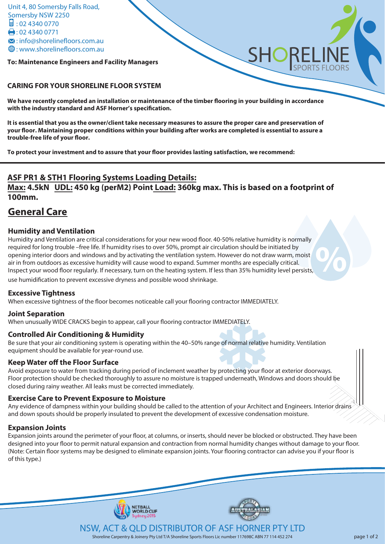**To: Maintenance Engineers and Facility Managers** 

#### **CARING FOR YOUR SHORELINE FLOOR SYSTEM**

We have recently completed an installation or maintenance of the timber flooring in your building in accordance with the industry standard and ASF Horner's specification.

**It is essential that you as the owner/client take necessary measures to assure the proper care and preservation of your oor. Maintaining proper conditions within your building after works are completed is essential to assure a**  trouble-free life of your floor.

To protect your investment and to assure that your floor provides lasting satisfaction, we recommend:

## **ASF PR1 & STH1 Flooring Systems Loading Details:**

**Max: 4.5kN UDL: 450 kg (perM2) Point Load: 360kg max. This is based on a footprint of 100mm.** 

# **General Care**

## **Humidity and Ventilation**

**%** Humidity and Ventilation are critical considerations for your new wood floor. 40-50% relative humidity is normally required for long trouble –free life. If humidity rises to over 50%, prompt air circulation should be initiated by opening interior doors and windows and by activating the ventilation system. However do not draw warm, moist air in from outdoors as excessive humidity will cause wood to expand. Summer months are especially critical. Inspect your wood floor regularly. If necessary, turn on the heating system. If less than 35% humidity level persists, use humidification to prevent excessive dryness and possible wood shrinkage.

## **Excessive Tightness**

When excessive tightness of the floor becomes noticeable call your flooring contractor IMMEDIATELY.

NETBALL<br>WORLD CUF

## **Joint Separation**

When unusually WIDE CRACKS begin to appear, call your flooring contractor IMMEDIATELY.

## **Controlled Air Conditioning & Humidity**

Be sure that your air conditioning system is operating within the 40–50% range of normal relative humidity. Ventilation equipment should be available for year-round use.

## **Keep Water off the Floor Surface**

Avoid exposure to water from tracking during period of inclement weather by protecting your floor at exterior doorways. Floor protection should be checked thoroughly to assure no moisture is trapped underneath, Windows and doors should be closed during rainy weather. All leaks must be corrected immediately.

## **Exercise Care to Prevent Exposure to Moisture**

Any evidence of dampness within your building should be called to the attention of your Architect and Engineers. Interior drains and down spouts should be properly insulated to prevent the development of excessive condensation moisture.

## **Expansion Joints**

Expansion joints around the perimeter of your floor, at columns, or inserts, should never be blocked or obstructed. They have been designed into your floor to permit natural expansion and contraction from normal humidity changes without damage to your floor. (Note: Certain floor systems may be designed to eliminate expansion joints. Your flooring contractor can advise you if your floor is of this type.)